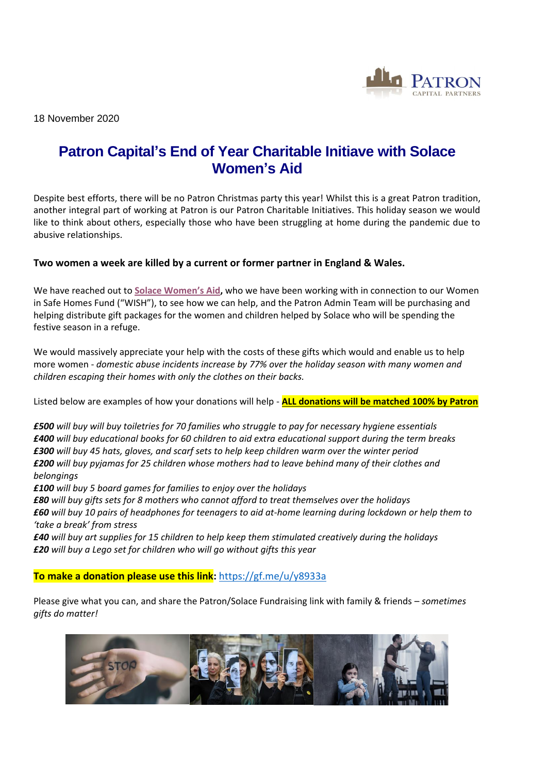

18 November 2020

# **Patron Capital's End of Year Charitable Initiave with Solace Women's Aid**

Despite best efforts, there will be no Patron Christmas party this year! Whilst this is a great Patron tradition, another integral part of working at Patron is our Patron Charitable Initiatives. This holiday season we would like to think about others, especially those who have been struggling at home during the pandemic due to abusive relationships.

## **Two women a week are killed by a current or former partner in England & Wales.**

We have reached out to **[Solace Wome](https://eur01.safelinks.protection.outlook.com/?url=https%3A%2F%2Fwww.solacewomensaid.org%2F&data=04%7C01%7CFloella%40patroncapital.com%7Cfa2456b97020450bae8d08d88bedd552%7C9e8b8fe4cced46ea9de4538975c136fc%7C0%7C0%7C637413200881746237%7CUnknown%7CTWFpbGZsb3d8eyJWIjoiMC4wLjAwMDAiLCJQIjoiV2luMzIiLCJBTiI6Ik1haWwiLCJXVCI6Mn0%3D%7C1000&sdata=%2BCAFXW5k%2F%2Bvh4caKM4ElogbWYeh5iWLGhkg8turmlfE%3D&reserved=0)n's Aid,** who we have been working with in connection to our Women in Safe Homes Fund ("WISH"), to see how we can help, and the Patron Admin Team will be purchasing and helping distribute gift packages for the women and children helped by Solace who will be spending the festive season in a refuge.

We would massively appreciate your help with the costs of these gifts which would and enable us to help more women - *domestic abuse incidents increase by 77% over the holiday season with many women and children escaping their homes with only the clothes on their backs.*

Listed below are examples of how your donations will help - **ALL donations will be matched 100% by Patron**

*£500 will buy will buy toiletries for 70 families who struggle to pay for necessary hygiene essentials £400 will buy educational books for 60 children to aid extra educational support during the term breaks £300 will buy 45 hats, gloves, and scarf sets to help keep children warm over the winter period £200 will buy pyjamas for 25 children whose mothers had to leave behind many of their clothes and belongings*

*£100 will buy 5 board games for families to enjoy over the holidays*

*£80 will buy gifts sets for 8 mothers who cannot afford to treat themselves over the holidays £60 will buy 10 pairs of headphones for teenagers to aid at-home learning during lockdown or help them to 'take a break' from stress*

*£40 will buy art supplies for 15 children to help keep them stimulated creatively during the holidays £20 will buy a Lego set for children who will go without gifts this year*

## **To make a donation please use this link:** [https://gf.me/u/y8933a](https://eur01.safelinks.protection.outlook.com/?url=https%3A%2F%2Fgf.me%2Fu%2Fy8933a&data=04%7C01%7CFloella%40patroncapital.com%7Cfa2456b97020450bae8d08d88bedd552%7C9e8b8fe4cced46ea9de4538975c136fc%7C0%7C0%7C637413200881746237%7CUnknown%7CTWFpbGZsb3d8eyJWIjoiMC4wLjAwMDAiLCJQIjoiV2luMzIiLCJBTiI6Ik1haWwiLCJXVCI6Mn0%3D%7C1000&sdata=APwm4RSyRNPW17mlaXpwqtUqsnVUX5r6zlFj3uRefUs%3D&reserved=0)

Please give what you can, and share the Patron/Solace Fundraising link with family & friends – *sometimes gifts do matter!*